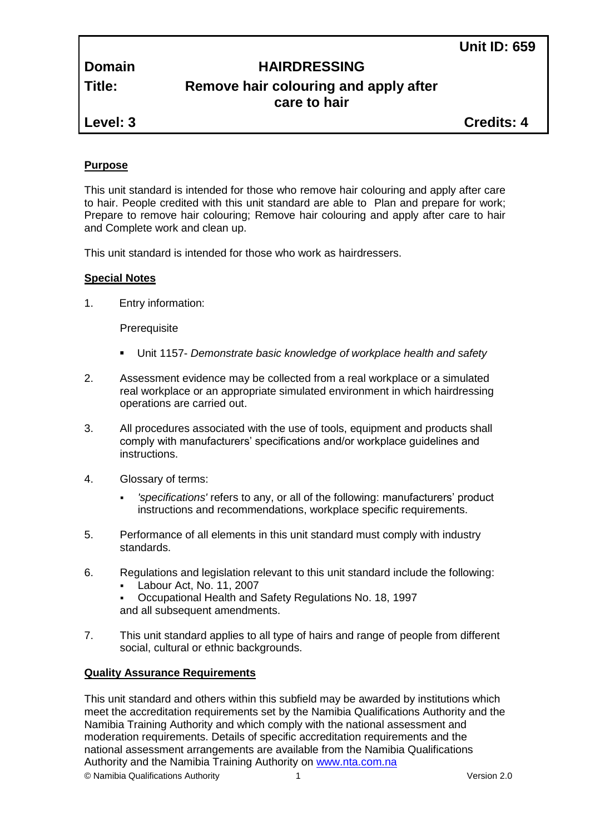# **Domain HAIRDRESSING**

# **Title: Remove hair colouring and apply after care to hair**

**Level: 3 Credits: 4**

# **Purpose**

This unit standard is intended for those who remove hair colouring and apply after care to hair. People credited with this unit standard are able to Plan and prepare for work; Prepare to remove hair colouring; Remove hair colouring and apply after care to hair and Complete work and clean up.

This unit standard is intended for those who work as hairdressers.

# **Special Notes**

1. Entry information:

**Prerequisite** 

- Unit 1157- *Demonstrate basic knowledge of workplace health and safety*
- 2. Assessment evidence may be collected from a real workplace or a simulated real workplace or an appropriate simulated environment in which hairdressing operations are carried out.
- 3. All procedures associated with the use of tools, equipment and products shall comply with manufacturers' specifications and/or workplace guidelines and instructions.
- 4. Glossary of terms:
	- *'specifications'* refers to any, or all of the following: manufacturers' product instructions and recommendations, workplace specific requirements.
- 5. Performance of all elements in this unit standard must comply with industry standards.
- 6. Regulations and legislation relevant to this unit standard include the following:
	- Labour Act, No. 11, 2007
	- Occupational Health and Safety Regulations No. 18, 1997 and all subsequent amendments.
- 7. This unit standard applies to all type of hairs and range of people from different social, cultural or ethnic backgrounds.

# **Quality Assurance Requirements**

© Namibia Qualifications Authority 1 Version 2.0 This unit standard and others within this subfield may be awarded by institutions which meet the accreditation requirements set by the Namibia Qualifications Authority and the Namibia Training Authority and which comply with the national assessment and moderation requirements. Details of specific accreditation requirements and the national assessment arrangements are available from the Namibia Qualifications Authority and the Namibia Training Authority on [www.nta.com.na](http://www.nta.com.na/)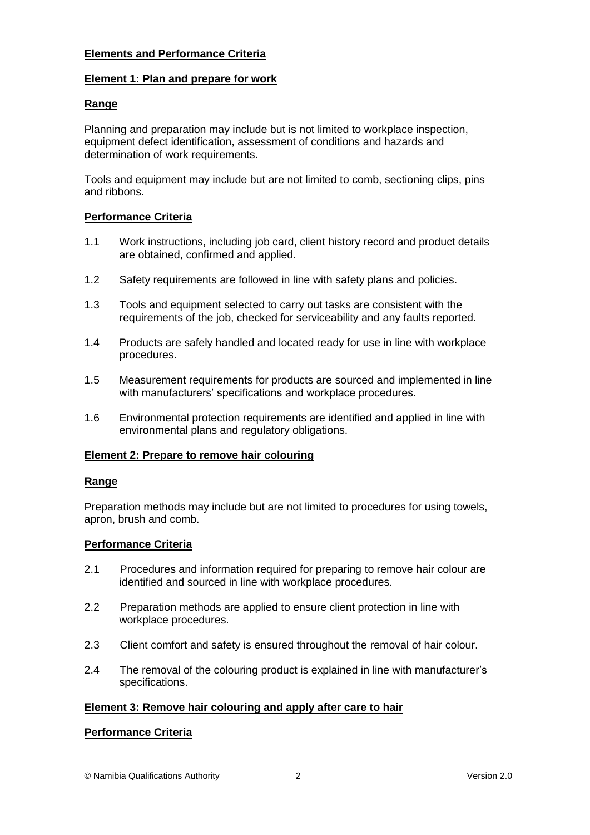# **Elements and Performance Criteria**

# **Element 1: Plan and prepare for work**

# **Range**

Planning and preparation may include but is not limited to workplace inspection, equipment defect identification, assessment of conditions and hazards and determination of work requirements.

Tools and equipment may include but are not limited to comb, sectioning clips, pins and ribbons.

# **Performance Criteria**

- 1.1 Work instructions, including job card, client history record and product details are obtained, confirmed and applied.
- 1.2 Safety requirements are followed in line with safety plans and policies.
- 1.3 Tools and equipment selected to carry out tasks are consistent with the requirements of the job, checked for serviceability and any faults reported.
- 1.4 Products are safely handled and located ready for use in line with workplace procedures.
- 1.5 Measurement requirements for products are sourced and implemented in line with manufacturers' specifications and workplace procedures.
- 1.6 Environmental protection requirements are identified and applied in line with environmental plans and regulatory obligations.

### **Element 2: Prepare to remove hair colouring**

### **Range**

Preparation methods may include but are not limited to procedures for using towels, apron, brush and comb.

### **Performance Criteria**

- 2.1 Procedures and information required for preparing to remove hair colour are identified and sourced in line with workplace procedures.
- 2.2 Preparation methods are applied to ensure client protection in line with workplace procedures.
- 2.3 Client comfort and safety is ensured throughout the removal of hair colour.
- 2.4 The removal of the colouring product is explained in line with manufacturer's specifications.

# **Element 3: Remove hair colouring and apply after care to hair**

### **Performance Criteria**